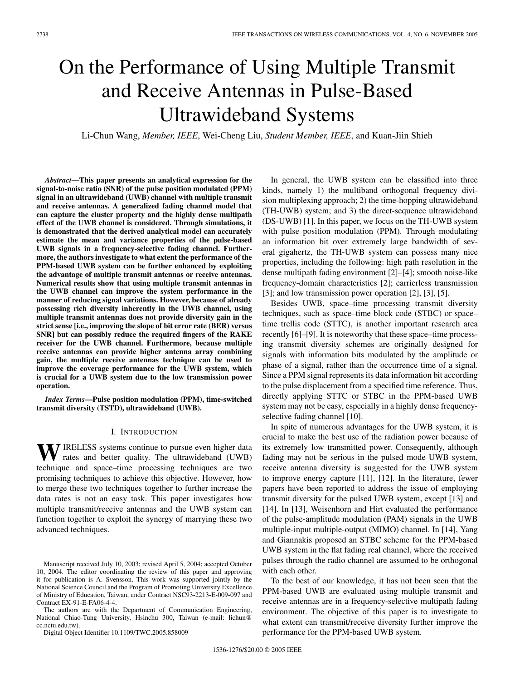# On the Performance of Using Multiple Transmit and Receive Antennas in Pulse-Based Ultrawideband Systems

Li-Chun Wang, *Member, IEEE*, Wei-Cheng Liu, *Student Member, IEEE*, and Kuan-Jiin Shieh

*Abstract***—This paper presents an analytical expression for the signal-to-noise ratio (SNR) of the pulse position modulated (PPM) signal in an ultrawideband (UWB) channel with multiple transmit and receive antennas. A generalized fading channel model that can capture the cluster property and the highly dense multipath effect of the UWB channel is considered. Through simulations, it is demonstrated that the derived analytical model can accurately estimate the mean and variance properties of the pulse-based UWB signals in a frequency-selective fading channel. Furthermore, the authors investigate to what extent the performance of the PPM-based UWB system can be further enhanced by exploiting the advantage of multiple transmit antennas or receive antennas. Numerical results show that using multiple transmit antennas in the UWB channel can improve the system performance in the manner of reducing signal variations. However, because of already possessing rich diversity inherently in the UWB channel, using multiple transmit antennas does not provide diversity gain in the strict sense [i.e., improving the slope of bit error rate (BER) versus SNR] but can possibly reduce the required fingers of the RAKE receiver for the UWB channel. Furthermore, because multiple receive antennas can provide higher antenna array combining gain, the multiple receive antennas technique can be used to improve the coverage performance for the UWB system, which is crucial for a UWB system due to the low transmission power operation.**

*Index Terms***—Pulse position modulation (PPM), time-switched transmit diversity (TSTD), ultrawideband (UWB).**

## I. INTRODUCTION

**W** IRELESS systems continue to pursue even higher data rates and better quality. The ultrawideband (UWB) technique and space–time processing techniques are two promising techniques to achieve this objective. However, how to merge these two techniques together to further increase the data rates is not an easy task. This paper investigates how multiple transmit/receive antennas and the UWB system can function together to exploit the synergy of marrying these two advanced techniques.

The authors are with the Department of Communication Engineering, National Chiao-Tung University, Hsinchu 300, Taiwan (e-mail: lichun@ cc.nctu.edu.tw).

Digital Object Identifier 10.1109/TWC.2005.858009

In general, the UWB system can be classified into three kinds, namely 1) the multiband orthogonal frequency division multiplexing approach; 2) the time-hopping ultrawideband (TH-UWB) system; and 3) the direct-sequence ultrawideband (DS-UWB) [1]. In this paper, we focus on the TH-UWB system with pulse position modulation (PPM). Through modulating an information bit over extremely large bandwidth of several gigahertz, the TH-UWB system can possess many nice properties, including the following: high path resolution in the dense multipath fading environment [2]–[4]; smooth noise-like frequency-domain characteristics [2]; carrierless transmission [3]; and low transmission power operation [2], [3], [5].

Besides UWB, space–time processing transmit diversity techniques, such as space–time block code (STBC) or space– time trellis code (STTC), is another important research area recently [6]–[9]. It is noteworthy that these space–time processing transmit diversity schemes are originally designed for signals with information bits modulated by the amplitude or phase of a signal, rather than the occurrence time of a signal. Since a PPM signal represents its data information bit according to the pulse displacement from a specified time reference. Thus, directly applying STTC or STBC in the PPM-based UWB system may not be easy, especially in a highly dense frequencyselective fading channel [10].

In spite of numerous advantages for the UWB system, it is crucial to make the best use of the radiation power because of its extremely low transmitted power. Consequently, although fading may not be serious in the pulsed mode UWB system, receive antenna diversity is suggested for the UWB system to improve energy capture [11], [12]. In the literature, fewer papers have been reported to address the issue of employing transmit diversity for the pulsed UWB system, except [13] and [14]. In [13], Weisenhorn and Hirt evaluated the performance of the pulse-amplitude modulation (PAM) signals in the UWB multiple-input multiple-output (MIMO) channel. In [14], Yang and Giannakis proposed an STBC scheme for the PPM-based UWB system in the flat fading real channel, where the received pulses through the radio channel are assumed to be orthogonal with each other.

To the best of our knowledge, it has not been seen that the PPM-based UWB are evaluated using multiple transmit and receive antennas are in a frequency-selective multipath fading environment. The objective of this paper is to investigate to what extent can transmit/receive diversity further improve the performance for the PPM-based UWB system.

Manuscript received July 10, 2003; revised April 5, 2004; accepted October 10, 2004. The editor coordinating the review of this paper and approving it for publication is A. Svensson. This work was supported jointly by the National Science Council and the Program of Promoting University Excellence of Ministry of Education, Taiwan, under Contract NSC93-2213-E-009-097 and Contract EX-91-E-FA06-4-4.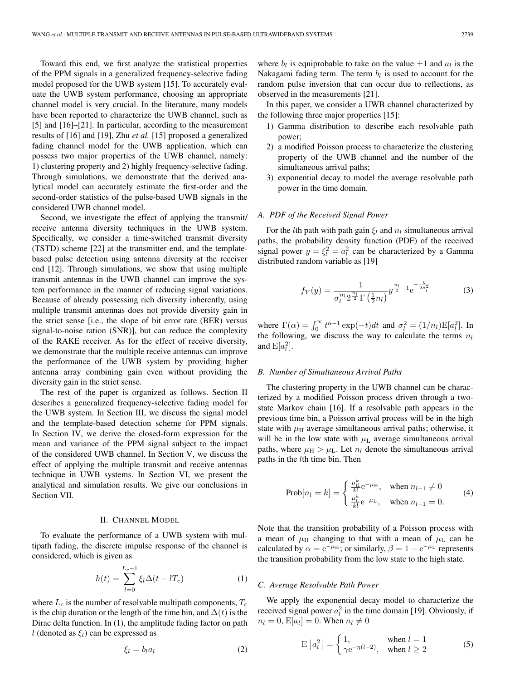Toward this end, we first analyze the statistical properties of the PPM signals in a generalized frequency-selective fading model proposed for the UWB system [15]. To accurately evaluate the UWB system performance, choosing an appropriate channel model is very crucial. In the literature, many models have been reported to characterize the UWB channel, such as [5] and [16]–[21]. In particular, according to the measurement results of [16] and [19], Zhu *et al.* [15] proposed a generalized fading channel model for the UWB application, which can possess two major properties of the UWB channel, namely: 1) clustering property and 2) highly frequency-selective fading. Through simulations, we demonstrate that the derived analytical model can accurately estimate the first-order and the second-order statistics of the pulse-based UWB signals in the considered UWB channel model.

Second, we investigate the effect of applying the transmit/ receive antenna diversity techniques in the UWB system. Specifically, we consider a time-switched transmit diversity (TSTD) scheme [22] at the transmitter end, and the templatebased pulse detection using antenna diversity at the receiver end [12]. Through simulations, we show that using multiple transmit antennas in the UWB channel can improve the system performance in the manner of reducing signal variations. Because of already possessing rich diversity inherently, using multiple transmit antennas does not provide diversity gain in the strict sense [i.e., the slope of bit error rate (BER) versus signal-to-noise ration (SNR)], but can reduce the complexity of the RAKE receiver. As for the effect of receive diversity, we demonstrate that the multiple receive antennas can improve the performance of the UWB system by providing higher antenna array combining gain even without providing the diversity gain in the strict sense.

The rest of the paper is organized as follows. Section II describes a generalized frequency-selective fading model for the UWB system. In Section III, we discuss the signal model and the template-based detection scheme for PPM signals. In Section IV, we derive the closed-form expression for the mean and variance of the PPM signal subject to the impact of the considered UWB channel. In Section V, we discuss the effect of applying the multiple transmit and receive antennas technique in UWB systems. In Section VI, we present the analytical and simulation results. We give our conclusions in Section VII.

## II. CHANNEL MODEL

To evaluate the performance of a UWB system with multipath fading, the discrete impulse response of the channel is considered, which is given as

$$
h(t) = \sum_{l=0}^{L_c - 1} \xi_l \Delta(t - lT_c)
$$
 (1)

where  $L_c$  is the number of resolvable multipath components,  $T_c$ is the chip duration or the length of the time bin, and  $\Delta(t)$  is the Dirac delta function. In (1), the amplitude fading factor on path l (denoted as  $\xi_l$ ) can be expressed as

$$
\xi_l = b_l a_l \tag{2}
$$

where  $b_l$  is equiprobable to take on the value  $\pm 1$  and  $a_l$  is the Nakagami fading term. The term  $b_l$  is used to account for the random pulse inversion that can occur due to reflections, as observed in the measurements [21].

In this paper, we consider a UWB channel characterized by the following three major properties [15]:

- 1) Gamma distribution to describe each resolvable path power;
- 2) a modified Poisson process to characterize the clustering property of the UWB channel and the number of the simultaneous arrival paths;
- 3) exponential decay to model the average resolvable path power in the time domain.

## *A. PDF of the Received Signal Power*

For the *l*th path with path gain  $\xi_l$  and  $n_l$  simultaneous arrival paths, the probability density function (PDF) of the received signal power  $y = \xi_l^2 = a_l^2$  can be characterized by a Gamma distributed random variable as [19]

$$
f_Y(y) = \frac{1}{\sigma_l^{n_l} 2^{\frac{n_l}{2}} \Gamma\left(\frac{1}{2}n_l\right)} y^{\frac{n_l}{2} - 1} e^{-\frac{y}{2\sigma_l^2}} \tag{3}
$$

where  $\Gamma(\alpha) = \int_0^\infty t^{\alpha-1} \exp(-t) dt$  and  $\sigma_l^2 = (1/n_l) \mathbb{E}[a_l^2]$ . In the following, we discuss the way to calculate the terms  $n_l$ and  $E[a_l^2]$ .

#### *B. Number of Simultaneous Arrival Paths*

The clustering property in the UWB channel can be characterized by a modified Poisson process driven through a twostate Markov chain [16]. If a resolvable path appears in the previous time bin, a Poisson arrival process will be in the high state with  $\mu_H$  average simultaneous arrival paths; otherwise, it will be in the low state with  $\mu$ <sub>L</sub> average simultaneous arrival paths, where  $\mu_{\rm H} > \mu_{\rm L}$ . Let  $n_l$  denote the simultaneous arrival paths in the *l*th time bin. Then

$$
Prob[n_l = k] = \begin{cases} \frac{\mu_{\text{H}}^k}{k!} e^{-\mu_{\text{H}}}, & \text{when } n_{l-1} \neq 0\\ \frac{\mu_{\text{L}}^k}{k!} e^{-\mu_{\text{L}}}, & \text{when } n_{l-1} = 0. \end{cases}
$$
 (4)

Note that the transition probability of a Poisson process with a mean of  $\mu$ H changing to that with a mean of  $\mu$ <sub>L</sub> can be calculated by  $\alpha = e^{-\mu_H}$ ; or similarly,  $\beta = 1 - e^{-\mu_L}$  represents the transition probability from the low state to the high state.

## *C. Average Resolvable Path Power*

We apply the exponential decay model to characterize the received signal power  $a_l^2$  in the time domain [19]. Obviously, if  $n_l = 0$ ,  $\mathbb{E}[a_l] = 0$ . When  $n_l \neq 0$ 

$$
\mathcal{E}\left[a_l^2\right] = \begin{cases} 1, & \text{when } l = 1\\ \gamma e^{-\eta(l-2)}, & \text{when } l \ge 2 \end{cases} \tag{5}
$$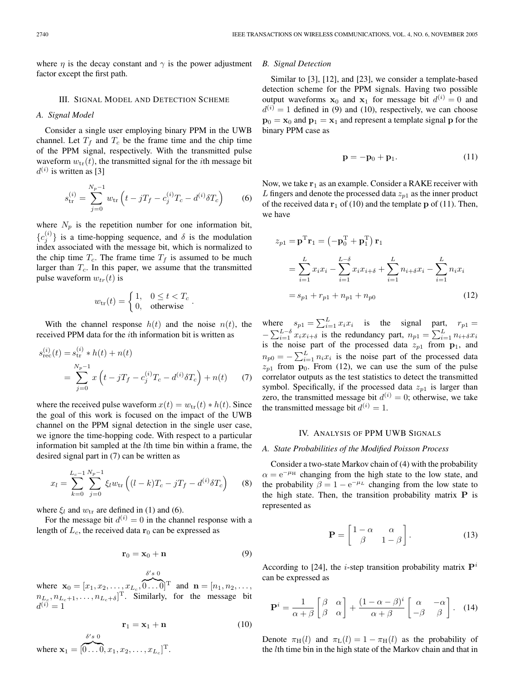where  $\eta$  is the decay constant and  $\gamma$  is the power adjustment factor except the first path.

## III. SIGNAL MODEL AND DETECTION SCHEME

#### *A. Signal Model*

Consider a single user employing binary PPM in the UWB channel. Let  $T_f$  and  $T_c$  be the frame time and the chip time of the PPM signal, respectively. With the transmitted pulse waveform  $w_{tr}(t)$ , the transmitted signal for the *i*th message bit  $d^{(i)}$  is written as [3]

$$
s_{\text{tr}}^{(i)} = \sum_{j=0}^{N_p - 1} w_{\text{tr}} \left( t - jT_f - c_j^{(i)} T_c - d^{(i)} \delta T_c \right) \tag{6}
$$

where  $N_p$  is the repetition number for one information bit,  ${c_j^{(i)}}$  is a time-hopping sequence, and  $\delta$  is the modulation index associated with the message bit, which is normalized to the chip time  $T_c$ . The frame time  $T_f$  is assumed to be much larger than  $T_c$ . In this paper, we assume that the transmitted pulse waveform  $w_{tr}(t)$  is

$$
w_{\text{tr}}(t) = \begin{cases} 1, & 0 \le t < T_c \\ 0, & \text{otherwise} \end{cases}.
$$

With the channel response  $h(t)$  and the noise  $n(t)$ , the received PPM data for the ith information bit is written as

$$
s_{\text{rec}}^{(i)}(t) = s_{\text{tr}}^{(i)} * h(t) + n(t)
$$
  
= 
$$
\sum_{j=0}^{N_p - 1} x \left( t - jT_f - c_j^{(i)} T_c - d^{(i)} \delta T_c \right) + n(t)
$$
 (7)

where the received pulse waveform  $x(t) = w_{tr}(t) * h(t)$ . Since the goal of this work is focused on the impact of the UWB channel on the PPM signal detection in the single user case, we ignore the time-hopping code. With respect to a particular information bit sampled at the *l*th time bin within a frame, the desired signal part in (7) can be written as

$$
x_l = \sum_{k=0}^{L_c - 1} \sum_{j=0}^{N_p - 1} \xi_l w_{\text{tr}} \left( (l - k) T_c - j T_f - d^{(i)} \delta T_c \right) \tag{8}
$$

where  $\xi_l$  and  $w_{\text{tr}}$  are defined in (1) and (6).

For the message bit  $d^{(i)} = 0$  in the channel response with a length of  $L_c$ , the received data  $\mathbf{r}_0$  can be expressed as

$$
\mathbf{r}_0 = \mathbf{x}_0 + \mathbf{n} \tag{9}
$$

where  $\mathbf{x}_0 = [x_1, x_2, \dots, x_{L_c}, \overbrace{0 \dots 0}]^T$  and  $\mathbf{n} = [n_1, n_2, \dots, n_L]$  $\delta's$  0  $n_{L_c}, n_{L_c+1}, \ldots, n_{L_c+\delta}]^{\text{T}}$ . Similarly, for the message bit  $d^{(i)} = 1$ 

$$
\mathbf{r}_1 = \mathbf{x}_1 + \mathbf{n} \tag{10}
$$
  
where  $\mathbf{x}_1 = [0 \dots 0, x_1, x_2, \dots, x_{L_c}]^T$ .

#### *B. Signal Detection*

Similar to [3], [12], and [23], we consider a template-based detection scheme for the PPM signals. Having two possible output waveforms  $x_0$  and  $x_1$  for message bit  $d^{(i)} = 0$  and  $d^{(i)} = 1$  defined in (9) and (10), respectively, we can choose  $\mathbf{p}_0 = \mathbf{x}_0$  and  $\mathbf{p}_1 = \mathbf{x}_1$  and represent a template signal **p** for the binary PPM case as

$$
\mathbf{p} = -\mathbf{p}_0 + \mathbf{p}_1. \tag{11}
$$

Now, we take  $r_1$  as an example. Consider a RAKE receiver with L fingers and denote the processed data  $z_{p1}$  as the inner product of the received data  $\mathbf{r}_1$  of (10) and the template  $\mathbf{p}$  of (11). Then, we have

$$
z_{p1} = \mathbf{p}^{\mathrm{T}} \mathbf{r}_1 = \left(-\mathbf{p}_0^{\mathrm{T}} + \mathbf{p}_1^{\mathrm{T}}\right) \mathbf{r}_1
$$
  
= 
$$
\sum_{i=1}^{L} x_i x_i - \sum_{i=1}^{L-\delta} x_i x_{i+\delta} + \sum_{i=1}^{L} n_{i+\delta} x_i - \sum_{i=1}^{L} n_i x_i
$$
  
= 
$$
s_{p1} + r_{p1} + n_{p1} + n_{p0}
$$
 (12)

where  $s_{p1} = \sum_{i=1}^{L} x_i x_i$  is the signal part,  $r_{p1} =$  $-\sum_{i=1}^{L-\delta} x_i x_{i+\delta}$  is the redundancy part,  $n_{p1} = \sum_{i=1}^{L} n_{i+\delta} x_i$ is the noise part of the processed data  $z_{p1}$  from  $p_1$ , and  $n_{p0} = -\sum_{i=1}^{L} n_i x_i$  is the noise part of the processed data  $z_{p1}$  from  $p_0$ . From (12), we can use the sum of the pulse correlator outputs as the test statistics to detect the transmitted symbol. Specifically, if the processed data  $z_{p1}$  is larger than zero, the transmitted message bit  $d^{(i)} = 0$ ; otherwise, we take the transmitted message bit  $d^{(i)} = 1$ .

#### IV. ANALYSIS OF PPM UWB SIGNALS

## *A. State Probabilities of the Modified Poisson Process*

Consider a two-state Markov chain of (4) with the probability  $\alpha = e^{-\mu_H}$  changing from the high state to the low state, and the probability  $\beta = 1 - e^{-\mu L}$  changing from the low state to the high state. Then, the transition probability matrix **P** is represented as

$$
\mathbf{P} = \begin{bmatrix} 1 - \alpha & \alpha \\ \beta & 1 - \beta \end{bmatrix}.
$$
 (13)

According to [24], the *i*-step transition probability matrix  $P<sup>i</sup>$ can be expressed as

$$
\mathbf{P}^{i} = \frac{1}{\alpha + \beta} \begin{bmatrix} \beta & \alpha \\ \beta & \alpha \end{bmatrix} + \frac{(1 - \alpha - \beta)^{i}}{\alpha + \beta} \begin{bmatrix} \alpha & -\alpha \\ -\beta & \beta \end{bmatrix}.
$$
 (14)

Denote  $\pi_H(l)$  and  $\pi_L(l)=1 - \pi_H(l)$  as the probability of the lth time bin in the high state of the Markov chain and that in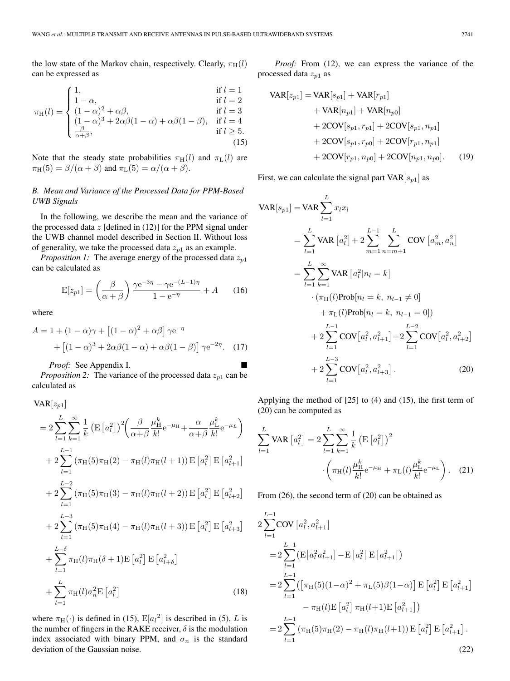the low state of the Markov chain, respectively. Clearly,  $\pi_H(l)$ can be expressed as

$$
\pi_{\mathrm{H}}(l) = \begin{cases}\n1, & \text{if } l = 1 \\
1 - \alpha, & \text{if } l = 2 \\
(1 - \alpha)^2 + \alpha\beta, & \text{if } l = 3 \\
\frac{(1 - \alpha)^3 + 2\alpha\beta(1 - \alpha) + \alpha\beta(1 - \beta), & \text{if } l = 4 \\
\frac{\beta}{\alpha + \beta}, & \text{if } l \ge 5.\n\end{cases}
$$
\n(15)

Note that the steady state probabilities  $\pi_H(l)$  and  $\pi_L(l)$  are  $\pi_{\text{H}}(5) = \beta/(\alpha + \beta)$  and  $\pi_{\text{L}}(5) = \alpha/(\alpha + \beta)$ .

# *B. Mean and Variance of the Processed Data for PPM-Based UWB Signals*

In the following, we describe the mean and the variance of the processed data  $z$  [defined in (12)] for the PPM signal under the UWB channel model described in Section II. Without loss of generality, we take the processed data  $z_{p1}$  as an example.

*Proposition 1:* The average energy of the processed data  $z_{p1}$ can be calculated as

$$
E[z_{p1}] = \left(\frac{\beta}{\alpha + \beta}\right) \frac{\gamma e^{-3\eta} - \gamma e^{-(L-1)\eta}}{1 - e^{-\eta}} + A \qquad (16)
$$

where

 $VAD$ [ $1$ ]

$$
A = 1 + (1 - \alpha)\gamma + \left[ (1 - \alpha)^2 + \alpha\beta \right] \gamma e^{-\eta}
$$

$$
+ \left[ (1 - \alpha)^3 + 2\alpha\beta(1 - \alpha) + \alpha\beta(1 - \beta) \right] \gamma e^{-2\eta}. \quad (17)
$$

*Proof:* See Appendix I.

*Proposition 2:* The variance of the processed data  $z_{p1}$  can be calculated as

$$
\mathbf{VAR}[z_{p1}]
$$
\n
$$
= 2 \sum_{l=1}^{L} \sum_{k=1}^{\infty} \frac{1}{k} \left( \mathbf{E} \left[ a_l^2 \right] \right)^2 \left( \frac{\beta}{\alpha + \beta} \frac{\mu_{\mathrm{H}}^k}{k!} e^{-\mu_{\mathrm{H}}} + \frac{\alpha}{\alpha + \beta} \frac{\mu_{\mathrm{L}}^k}{k!} e^{-\mu_{\mathrm{L}}} \right)
$$
\n
$$
+ 2 \sum_{l=1}^{L-1} \left( \pi_{\mathrm{H}}(5) \pi_{\mathrm{H}}(2) - \pi_{\mathrm{H}}(l) \pi_{\mathrm{H}}(l+1) \right) \mathbf{E} \left[ a_l^2 \right] \mathbf{E} \left[ a_{l+1}^2 \right]
$$
\n
$$
+ 2 \sum_{l=1}^{L-2} \left( \pi_{\mathrm{H}}(5) \pi_{\mathrm{H}}(3) - \pi_{\mathrm{H}}(l) \pi_{\mathrm{H}}(l+2) \right) \mathbf{E} \left[ a_l^2 \right] \mathbf{E} \left[ a_{l+2}^2 \right]
$$
\n
$$
+ 2 \sum_{l=1}^{L-3} \left( \pi_{\mathrm{H}}(5) \pi_{\mathrm{H}}(4) - \pi_{\mathrm{H}}(l) \pi_{\mathrm{H}}(l+3) \right) \mathbf{E} \left[ a_l^2 \right] \mathbf{E} \left[ a_{l+3}^2 \right]
$$
\n
$$
+ \sum_{l=1}^{L-5} \pi_{\mathrm{H}}(l) \pi_{\mathrm{H}}(\delta + 1) \mathbf{E} \left[ a_l^2 \right] \mathbf{E} \left[ a_{l+\delta}^2 \right]
$$
\n
$$
+ \sum_{l=1}^{L} \pi_{\mathrm{H}}(l) \sigma_n^2 \mathbf{E} \left[ a_l^2 \right] \tag{18}
$$

where  $\pi_H(\cdot)$  is defined in (15),  $E[a_l^2]$  is described in (5), L is the number of fingers in the RAKE receiver,  $\delta$  is the modulation index associated with binary PPM, and  $\sigma_n$  is the standard deviation of the Gaussian noise.

*Proof:* From (12), we can express the variance of the processed data  $z_{p1}$  as

$$
VAR[z_{p1}] = VAR[s_{p1}] + VAR[r_{p1}]
$$
  
+ 
$$
VAR[n_{p1}] + VAR[n_{p0}]
$$
  
+ 
$$
2COV[s_{p1}, r_{p1}] + 2COV[s_{p1}, n_{p1}]
$$
  
+ 
$$
2COV[s_{p1}, r_{p0}] + 2COV[r_{p1}, n_{p1}]
$$
  
+ 
$$
2COV[r_{p1}, n_{p0}] + 2COV[n_{p1}, n_{p0}].
$$
 (19)

First, we can calculate the signal part  $VAR[s_{p1}]$  as

$$
VAR[s_{p1}] = VAR \sum_{l=1}^{L} x_{l} x_{l}
$$
  
=  $\sum_{l=1}^{L} VAR[a_{l}^{2}] + 2 \sum_{m=1}^{L-1} \sum_{n=m+1}^{L} COV[a_{m}^{2}, a_{n}^{2}]$   
=  $\sum_{l=1}^{L} \sum_{k=1}^{\infty} VAR[a_{l}^{2}|n_{l} = k]$   
  $\cdot (\pi_{H}(l)Prob[n_{l} = k, n_{l-1} \neq 0]$   
  $+ \pi_{L}(l)Prob[n_{l} = k, n_{l-1} = 0])$   
  $+ 2 \sum_{l=1}^{L-1} COV[a_{l}^{2}, a_{l+1}^{2}] + 2 \sum_{l=1}^{L-2} COV[a_{l}^{2}, a_{l+2}^{2}]$   
  $+ 2 \sum_{l=1}^{L-3} COV[a_{l}^{2}, a_{l+3}^{2}].$  (20)

Applying the method of [25] to (4) and (15), the first term of (20) can be computed as

$$
\sum_{l=1}^{L} \text{VAR} [a_l^2] = 2 \sum_{l=1}^{L} \sum_{k=1}^{\infty} \frac{1}{k} \left( \text{E} [a_l^2] \right)^2
$$

$$
\cdot \left( \pi_{\text{H}}(l) \frac{\mu_{\text{H}}^k}{k!} e^{-\mu_{\text{H}}} + \pi_{\text{L}}(l) \frac{\mu_{\text{L}}^k}{k!} e^{-\mu_{\text{L}}} \right). \quad (21)
$$

From (26), the second term of (20) can be obtained as

$$
2\sum_{l=1}^{L-1} \text{COV} \left[a_l^2, a_{l+1}^2\right]
$$
  
= 
$$
2\sum_{l=1}^{L-1} \left(\text{E}\left[a_l^2 a_{l+1}^2\right] - \text{E}\left[a_l^2\right] \text{E}\left[a_{l+1}^2\right]\right)
$$
  
= 
$$
2\sum_{l=1}^{L-1} \left(\left[\pi_{\text{H}}(5)(1-\alpha)^2 + \pi_{\text{L}}(5)\beta(1-\alpha)\right] \text{E}\left[a_l^2\right] \text{E}\left[a_{l+1}^2\right]\right]
$$
  

$$
- \pi_{\text{H}}(l) \text{E}\left[a_l^2\right] \pi_{\text{H}}(l+1) \text{E}\left[a_{l+1}^2\right])
$$
  
= 
$$
2\sum_{l=1}^{L-1} \left(\pi_{\text{H}}(5)\pi_{\text{H}}(2) - \pi_{\text{H}}(l)\pi_{\text{H}}(l+1)\right) \text{E}\left[a_l^2\right] \text{E}\left[a_{l+1}^2\right].
$$
 (22)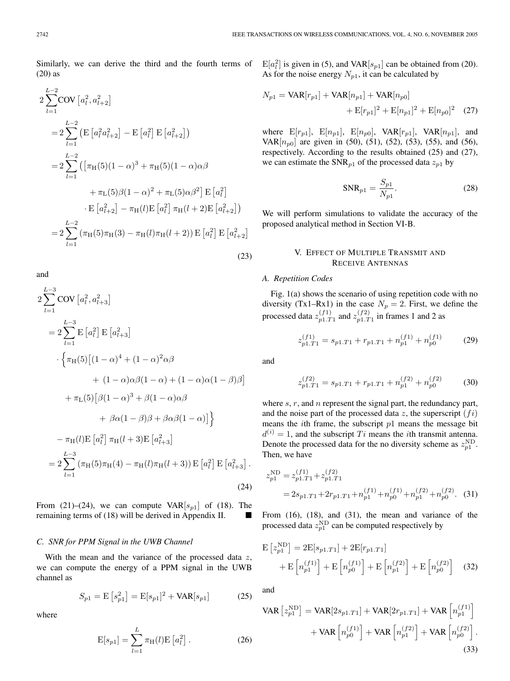Similarly, we can derive the third and the fourth terms of (20) as

$$
2\sum_{l=1}^{L-2} \text{COV} \left[a_l^2, a_{l+2}^2\right]
$$
  
=  $2\sum_{l=1}^{L-2} \left(\text{E}\left[a_l^2 a_{l+2}^2\right] - \text{E}\left[a_l^2\right] \text{E}\left[a_{l+2}^2\right]\right)$   
=  $2\sum_{l=1}^{L-2} \left(\left[\pi_H(5)(1-\alpha)^3 + \pi_H(5)(1-\alpha)\alpha\beta\right.\right.$   

$$
+ \pi_L(5)\beta(1-\alpha)^2 + \pi_L(5)\alpha\beta^2 \text{E}\left[a_l^2\right]
$$

$$
\cdot \text{E}\left[a_{l+2}^2\right] - \pi_H(l)\text{E}\left[a_l^2\right] \pi_H(l+2)\text{E}\left[a_{l+2}^2\right])
$$
  
=  $2\sum_{l=1}^{L-2} \left(\pi_H(5)\pi_H(3) - \pi_H(l)\pi_H(l+2)\right) \text{E}\left[a_l^2\right] \text{E}\left[a_{l+2}^2\right]$  (23)

and

$$
2\sum_{l=1}^{L-3} \text{COV} [a_l^2, a_{l+3}^2]
$$
  
=  $2\sum_{l=1}^{L-3} \text{E} [a_l^2] \text{E} [a_{l+3}^2]$   
 $\cdot \left\{ \pi_{H}(5) [(1-\alpha)^4 + (1-\alpha)^2 \alpha \beta + (1-\alpha)\alpha(1-\beta)\beta] + \pi_{L}(5) [\beta(1-\alpha)^3 + \beta(1-\alpha)\alpha\beta + \beta\alpha(1-\beta)\beta + \beta\alpha\beta(1-\alpha)] \right\}$   
 $- \pi_{H}(l) \text{E} [a_l^2] \pi_{H}(l+3) \text{E} [a_{l+3}^2]$   
=  $2\sum_{l=1}^{L-3} (\pi_{H}(5)\pi_{H}(4) - \pi_{H}(l)\pi_{H}(l+3)) \text{E} [a_l^2] \text{E} [a_{l+3}^2].$  (24)

From (21)–(24), we can compute  $VAR[s_{p1}]$  of (18). The remaining terms of (18) will be derived in Appendix II.

#### *C. SNR for PPM Signal in the UWB Channel*

With the mean and the variance of the processed data  $z$ , we can compute the energy of a PPM signal in the UWB channel as

$$
S_{p1} = \mathbf{E}\left[s_{p1}^2\right] = \mathbf{E}[s_{p1}]^2 + \mathbf{VAR}[s_{p1}] \tag{25}
$$

where

$$
E[s_{p1}] = \sum_{l=1}^{L} \pi_H(l) E\left[a_l^2\right].
$$
 (26)

 $\mathbb{E}[a_l^2]$  is given in (5), and  $\text{VAR}[s_{p1}]$  can be obtained from (20). As for the noise energy  $N_{p1}$ , it can be calculated by

$$
N_{p1} = \text{VAR}[r_{p1}] + \text{VAR}[n_{p1}] + \text{VAR}[n_{p0}] + \text{E}[r_{p1}]^2 + \text{E}[n_{p1}]^2 + \text{E}[n_{p0}]^2 \quad (27)
$$

where  $E[r_{p1}], E[n_{p1}], E[n_{p0}], \text{VAR}[r_{p1}], \text{VAR}[n_{p1}], \text{and}$ VAR $[n_{p0}]$  are given in (50), (51), (52), (53), (55), and (56), respectively. According to the results obtained (25) and (27), we can estimate the SNR<sub>p1</sub> of the processed data  $z_{p1}$  by

$$
SNR_{p1} = \frac{S_{p1}}{N_{p1}}.\t(28)
$$

We will perform simulations to validate the accuracy of the proposed analytical method in Section VI-B.

## V. EFFECT OF MULTIPLE TRANSMIT AND RECEIVE ANTENNAS

## *A. Repetition Codes*

Fig. 1(a) shows the scenario of using repetition code with no diversity (Tx1–Rx1) in the case  $N_p = 2$ . First, we define the processed data  $z_{p1.T1}^{(f1)}$  and  $z_{p1.T1}^{(f2)}$  in frames 1 and 2 as

$$
z_{p1.T1}^{(f1)} = s_{p1.T1} + r_{p1.T1} + n_{p1}^{(f1)} + n_{p0}^{(f1)}
$$
 (29)

and

$$
z_{p1.T1}^{(f2)} = s_{p1.T1} + r_{p1.T1} + n_{p1}^{(f2)} + n_{p0}^{(f2)}
$$
 (30)

where  $s, r$ , and  $n$  represent the signal part, the redundancy part, and the noise part of the processed data z, the superscript  $(f_i)$ means the *i*th frame, the subscript  $p1$  means the message bit  $d^{(i)} = 1$ , and the subscript Ti means the *i*th transmit antenna. Denote the processed data for the no diversity scheme as  $z_{p1}^{\text{ND}}$ . Then, we have

$$
z_{p1}^{\text{ND}} = z_{p1.T1}^{(f1)} + z_{p1.T1}^{(f2)}
$$
  
=  $2s_{p1.T1} + 2r_{p1.T1} + n_{p1}^{(f1)} + n_{p0}^{(f1)} + n_{p1}^{(f2)} + n_{p0}^{(f2)}$ . (31)

From (16), (18), and (31), the mean and variance of the processed data  $z_{p1}^{\text{ND}}$  can be computed respectively by

$$
E\left[z_{p1}^{\text{ND}}\right] = 2E[s_{p1.T1}] + 2E[r_{p1.T1}]
$$

$$
+ E\left[n_{p1}^{(f1)}\right] + E\left[n_{p0}^{(f1)}\right] + E\left[n_{p1}^{(f2)}\right] + E\left[n_{p0}^{(f2)}\right] \quad (32)
$$

and

$$
\text{VAR}\left[z_{p1}^{\text{ND}}\right] = \text{VAR}[2s_{p1.T1}] + \text{VAR}[2r_{p1.T1}] + \text{VAR}\left[n_{p1}^{(f1)}\right] + \text{VAR}\left[n_{p0}^{(f1)}\right] + \text{VAR}\left[n_{p0}^{(f2)}\right] + \text{VAR}\left[n_{p0}^{(f2)}\right].
$$
\n(33)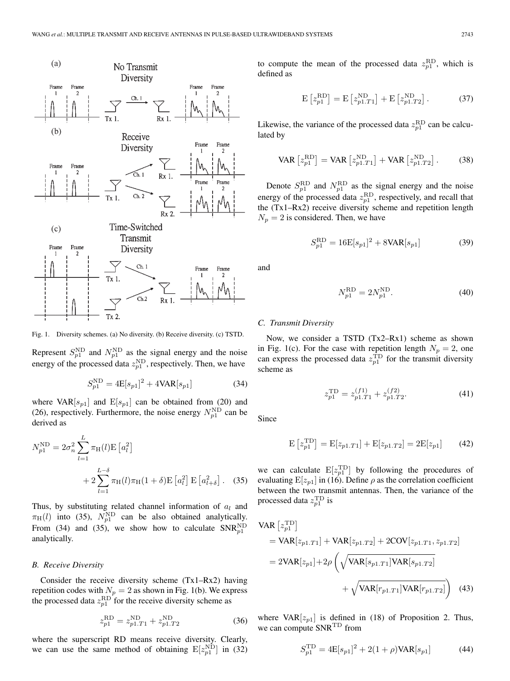

Fig. 1. Diversity schemes. (a) No diversity. (b) Receive diversity. (c) TSTD.

Represent  $S_{p1}^{\text{ND}}$  and  $N_{p1}^{\text{ND}}$  as the signal energy and the noise energy of the processed data  $z_{p1}^{\text{ND}}$ , respectively. Then, we have

$$
S_{p1}^{\text{ND}} = 4\mathbb{E}[s_{p1}]^2 + 4\text{VAR}[s_{p1}]
$$
 (34)

where  $VAR[s_{p1}]$  and  $E[s_{p1}]$  can be obtained from (20) and (26), respectively. Furthermore, the noise energy  $N_{p1}^{\text{ND}}$  can be derived as

$$
N_{p1}^{\text{ND}} = 2\sigma_n^2 \sum_{l=1}^{L} \pi_H(l) \mathbf{E} \left[ a_l^2 \right]
$$
  
+ 
$$
2 \sum_{l=1}^{L-\delta} \pi_H(l) \pi_H(1+\delta) \mathbf{E} \left[ a_l^2 \right] \mathbf{E} \left[ a_{l+\delta}^2 \right].
$$
 (35)

Thus, by substituting related channel information of  $a_l$  and  $\pi_H(l)$  into (35),  $N_{p1}^{\text{ND}}$  can be also obtained analytically. From (34) and (35), we show how to calculate  $SNR_{p1}^{ND}$ analytically.

#### *B. Receive Diversity*

Consider the receive diversity scheme (Tx1–Rx2) having repetition codes with  $N_p = 2$  as shown in Fig. 1(b). We express the processed data  $z_{p1}^{\rm RD}$  for the receive diversity scheme as

$$
z_{p1}^{\rm RD} = z_{p1.T1}^{\rm ND} + z_{p1.T2}^{\rm ND} \tag{36}
$$

where the superscript RD means receive diversity. Clearly, we can use the same method of obtaining  $E[z_{p1}^{\text{ND}}]$  in (32)

to compute the mean of the processed data  $z_{p1}^{\text{RD}}$ , which is defined as

$$
\mathbf{E}\left[z_{p1}^{\rm RD}\right] = \mathbf{E}\left[z_{p1.T1}^{\rm ND}\right] + \mathbf{E}\left[z_{p1.T2}^{\rm ND}\right].\tag{37}
$$

Likewise, the variance of the processed data  $z_{p1}^{\text{RD}}$  can be calculated by

$$
VAR\left[z_{p1}^{RD}\right] = VAR\left[z_{p1.T1}^{ND}\right] + VAR\left[z_{p1.T2}^{ND}\right].\tag{38}
$$

Denote  $S_{p1}^{\text{RD}}$  and  $N_{p1}^{\text{RD}}$  as the signal energy and the noise energy of the processed data  $z_{p1}^{\text{RD}}$ , respectively, and recall that the (Tx1–Rx2) receive diversity scheme and repetition length  $N_p = 2$  is considered. Then, we have

$$
S_{p1}^{\rm RD} = 16E[s_{p1}]^2 + 8\text{VAR}[s_{p1}]
$$
 (39)

and

$$
N_{p1}^{\rm RD} = 2N_{p1}^{\rm ND}.\tag{40}
$$

## *C. Transmit Diversity*

Now, we consider a TSTD (Tx2–Rx1) scheme as shown in Fig. 1(c). For the case with repetition length  $N_p = 2$ , one can express the processed data  $z_{p1}^{\text{TD}}$  for the transmit diversity scheme as

$$
z_{p1}^{\text{TD}} = z_{p1.T1}^{(f1)} + z_{p1.T2}^{(f2)}.
$$
 (41)

Since

$$
E[z_{p1}^{TD}] = E[z_{p1.T1}] + E[z_{p1.T2}] = 2E[z_{p1}] \qquad (42)
$$

we can calculate  $E[z_{p1}^{\text{TD}}]$  by following the procedures of evaluating  $E[z_{p1}]$  in (16). Define  $\rho$  as the correlation coefficient between the two transmit antennas. Then, the variance of the processed data  $z_{p1}^{\text{TD}}$  is

VAR 
$$
[z_{p1}^{\text{TD}}]
$$
  
\n= VAR $[z_{p1.T1}]$  + VAR $[z_{p1.T2}]$  + 2COV $[z_{p1.T1}, z_{p1.T2}]$   
\n= 2VAR $[z_{p1}]$ +2 $\rho$  ( $\sqrt{\text{VAR}[s_{p1.T1}]\text{VAR}[s_{p1.T2}]}$   
\n+  $\sqrt{\text{VAR}[r_{p1.T1}]\text{VAR}[r_{p1.T2}]}$ ) (43)

where  $VAR[z_{p1}]$  is defined in (18) of Proposition 2. Thus, we can compute SNR<sup>TD</sup> from

$$
S_{p1}^{\text{TD}} = 4\mathbb{E}[s_{p1}]^2 + 2(1+\rho)\text{VAR}[s_{p1}] \tag{44}
$$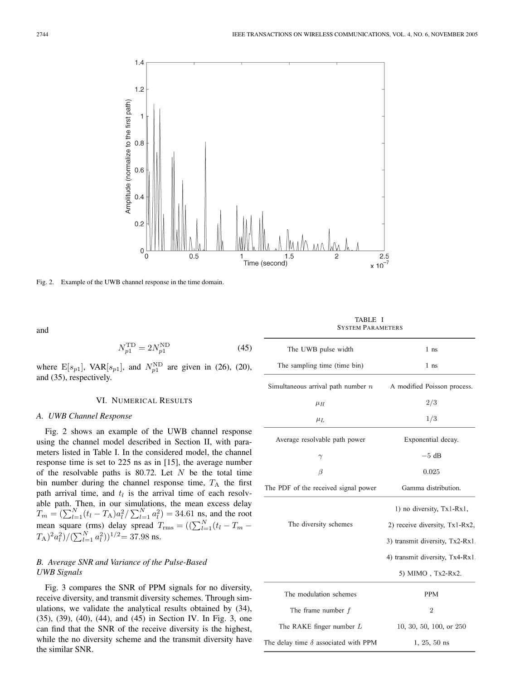

Fig. 2. Example of the UWB channel response in the time domain.

and

$$
N_{p1}^{\rm TD} = 2N_{p1}^{\rm ND} \tag{45}
$$

where  $E[s_{p1}]$ , VAR $[s_{p1}]$ , and  $N_{p1}^{\text{ND}}$  are given in (26), (20), and (35), respectively.

## VI. NUMERICAL RESULTS

## *A. UWB Channel Response*

Fig. 2 shows an example of the UWB channel response using the channel model described in Section II, with parameters listed in Table I. In the considered model, the channel response time is set to 225 ns as in [15], the average number of the resolvable paths is 80.72. Let  $N$  be the total time bin number during the channel response time,  $T_A$  the first path arrival time, and  $t_l$  is the arrival time of each resolvable path. Then, in our simulations, the mean excess delay  $T_m = (\sum_{l=1}^{N} (t_l - T_A) a_l^2 / \sum_{l=1}^{N} a_l^2) = 34.61$  ns, and the root mean square (rms) delay spread  $T_{\text{rms}} = ((\sum_{l=1}^{N} (t_l - T_m (T_A)^2 a_l^2)/(\sum_{l=1}^N a_l^2))^{1/2} = 37.98$  ns.

# *B. Average SNR and Variance of the Pulse-Based UWB Signals*

Fig. 3 compares the SNR of PPM signals for no diversity, receive diversity, and transmit diversity schemes. Through simulations, we validate the analytical results obtained by (34), (35), (39), (40), (44), and (45) in Section IV. In Fig. 3, one can find that the SNR of the receive diversity is the highest, while the no diversity scheme and the transmit diversity have the similar SNR.

TABLE I SYSTEM PARAMETERS

| The UWB pulse width                         | $1$ ns                          |
|---------------------------------------------|---------------------------------|
| The sampling time (time bin)                | $1$ ns                          |
| Simultaneous arrival path number $n$        | A modified Poisson process.     |
| $\mu_H$                                     | 2/3                             |
| $\mu_L$                                     | 1/3                             |
| Average resolvable path power               | Exponential decay.              |
| $\gamma$                                    | $-5$ dB                         |
| β                                           | 0.025                           |
| The PDF of the received signal power        | Gamma distribution.             |
|                                             | 1) no diversity, Tx1-Rx1,       |
| The diversity schemes                       | 2) receive diversity, Tx1-Rx2,  |
|                                             | 3) transmit diversity, Tx2-Rx1. |
|                                             | 4) transmit diversity, Tx4-Rx1, |
|                                             | 5) MIMO, Tx2-Rx2.               |
| The modulation schemes                      | <b>PPM</b>                      |
| The frame number $f$                        | $\overline{2}$                  |
| The RAKE finger number $L$                  | 10, 30, 50, 100, or 250         |
| The delay time $\delta$ associated with PPM | $1, 25, 50$ ns                  |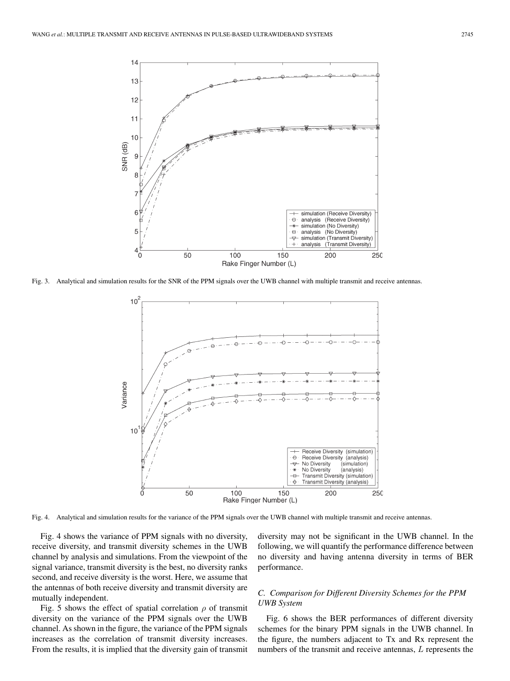

Fig. 3. Analytical and simulation results for the SNR of the PPM signals over the UWB channel with multiple transmit and receive antennas.



Fig. 4. Analytical and simulation results for the variance of the PPM signals over the UWB channel with multiple transmit and receive antennas.

Fig. 4 shows the variance of PPM signals with no diversity, receive diversity, and transmit diversity schemes in the UWB channel by analysis and simulations. From the viewpoint of the signal variance, transmit diversity is the best, no diversity ranks second, and receive diversity is the worst. Here, we assume that the antennas of both receive diversity and transmit diversity are mutually independent.

Fig. 5 shows the effect of spatial correlation  $\rho$  of transmit diversity on the variance of the PPM signals over the UWB channel. As shown in the figure, the variance of the PPM signals increases as the correlation of transmit diversity increases. From the results, it is implied that the diversity gain of transmit diversity may not be significant in the UWB channel. In the following, we will quantify the performance difference between no diversity and having antenna diversity in terms of BER performance.

# *C. Comparison for Different Diversity Schemes for the PPM UWB System*

Fig. 6 shows the BER performances of different diversity schemes for the binary PPM signals in the UWB channel. In the figure, the numbers adjacent to Tx and Rx represent the numbers of the transmit and receive antennas, L represents the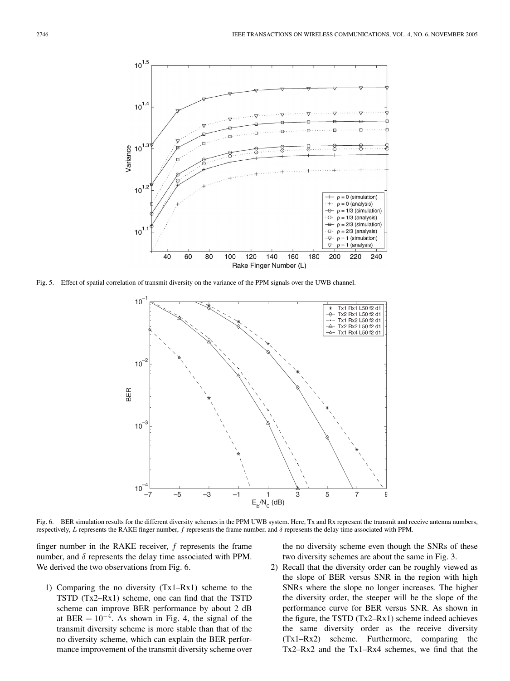

Fig. 5. Effect of spatial correlation of transmit diversity on the variance of the PPM signals over the UWB channel.



Fig. 6. BER simulation results for the different diversity schemes in the PPM UWB system. Here, Tx and Rx represent the transmit and receive antenna numbers, respectively, L represents the RAKE finger number,  $f$  represents the frame number, and  $\delta$  represents the delay time associated with PPM.

finger number in the RAKE receiver, f represents the frame number, and  $\delta$  represents the delay time associated with PPM. We derived the two observations from Fig. 6.

1) Comparing the no diversity (Tx1–Rx1) scheme to the TSTD (Tx2–Rx1) scheme, one can find that the TSTD scheme can improve BER performance by about 2 dB at BER =  $10^{-4}$ . As shown in Fig. 4, the signal of the transmit diversity scheme is more stable than that of the no diversity scheme, which can explain the BER performance improvement of the transmit diversity scheme over the no diversity scheme even though the SNRs of these two diversity schemes are about the same in Fig. 3.

2) Recall that the diversity order can be roughly viewed as the slope of BER versus SNR in the region with high SNRs where the slope no longer increases. The higher the diversity order, the steeper will be the slope of the performance curve for BER versus SNR. As shown in the figure, the TSTD (Tx2–Rx1) scheme indeed achieves the same diversity order as the receive diversity (Tx1–Rx2) scheme. Furthermore, comparing the Tx2–Rx2 and the Tx1–Rx4 schemes, we find that the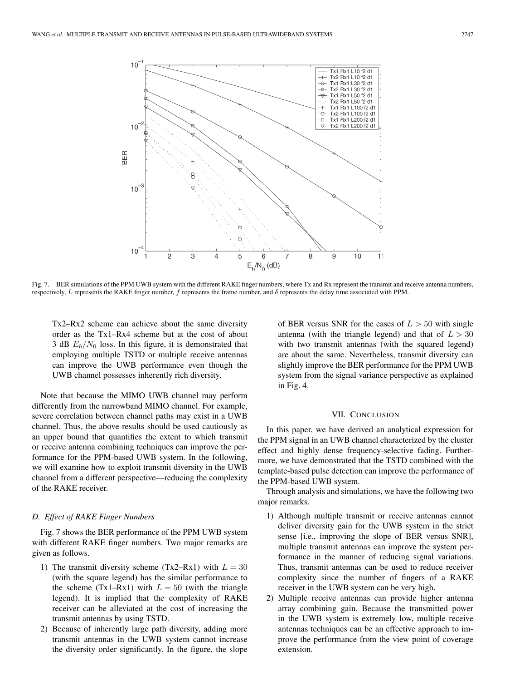

Fig. 7. BER simulations of the PPM UWB system with the different RAKE finger numbers, where Tx and Rx represent the transmit and receive antenna numbers, respectively, L represents the RAKE finger number,  $f$  represents the frame number, and  $\delta$  represents the delay time associated with PPM.

Tx2–Rx2 scheme can achieve about the same diversity order as the Tx1–Rx4 scheme but at the cost of about 3 dB  $E_b/N_0$  loss. In this figure, it is demonstrated that employing multiple TSTD or multiple receive antennas can improve the UWB performance even though the UWB channel possesses inherently rich diversity.

Note that because the MIMO UWB channel may perform differently from the narrowband MIMO channel. For example, severe correlation between channel paths may exist in a UWB channel. Thus, the above results should be used cautiously as an upper bound that quantifies the extent to which transmit or receive antenna combining techniques can improve the performance for the PPM-based UWB system. In the following, we will examine how to exploit transmit diversity in the UWB channel from a different perspective—reducing the complexity of the RAKE receiver.

#### *D. Effect of RAKE Finger Numbers*

Fig. 7 shows the BER performance of the PPM UWB system with different RAKE finger numbers. Two major remarks are given as follows.

- 1) The transmit diversity scheme (Tx2–Rx1) with  $L = 30$ (with the square legend) has the similar performance to the scheme (Tx1–Rx1) with  $L = 50$  (with the triangle legend). It is implied that the complexity of RAKE receiver can be alleviated at the cost of increasing the transmit antennas by using TSTD.
- 2) Because of inherently large path diversity, adding more transmit antennas in the UWB system cannot increase the diversity order significantly. In the figure, the slope

of BER versus SNR for the cases of  $L > 50$  with single antenna (with the triangle legend) and that of  $L > 30$ with two transmit antennas (with the squared legend) are about the same. Nevertheless, transmit diversity can slightly improve the BER performance for the PPM UWB system from the signal variance perspective as explained in Fig. 4.

#### VII. CONCLUSION

In this paper, we have derived an analytical expression for the PPM signal in an UWB channel characterized by the cluster effect and highly dense frequency-selective fading. Furthermore, we have demonstrated that the TSTD combined with the template-based pulse detection can improve the performance of the PPM-based UWB system.

Through analysis and simulations, we have the following two major remarks.

- 1) Although multiple transmit or receive antennas cannot deliver diversity gain for the UWB system in the strict sense [i.e., improving the slope of BER versus SNR], multiple transmit antennas can improve the system performance in the manner of reducing signal variations. Thus, transmit antennas can be used to reduce receiver complexity since the number of fingers of a RAKE receiver in the UWB system can be very high.
- 2) Multiple receive antennas can provide higher antenna array combining gain. Because the transmitted power in the UWB system is extremely low, multiple receive antennas techniques can be an effective approach to improve the performance from the view point of coverage extension.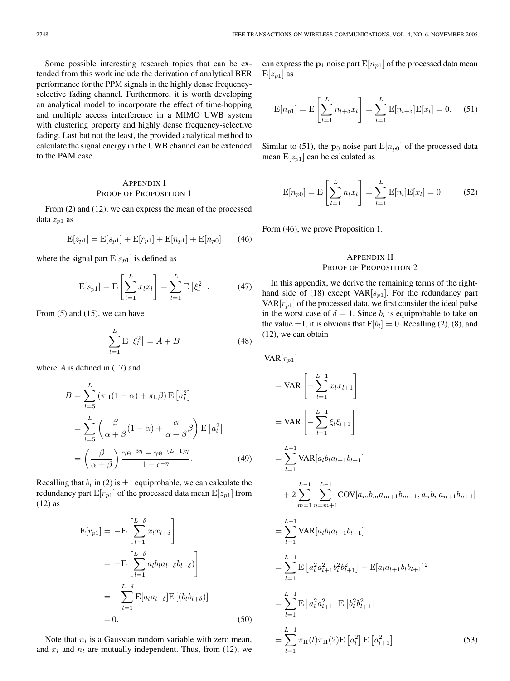Some possible interesting research topics that can be extended from this work include the derivation of analytical BER performance for the PPM signals in the highly dense frequencyselective fading channel. Furthermore, it is worth developing an analytical model to incorporate the effect of time-hopping and multiple access interference in a MIMO UWB system with clustering property and highly dense frequency-selective fading. Last but not the least, the provided analytical method to calculate the signal energy in the UWB channel can be extended to the PAM case.

# APPENDIX I PROOF OF PROPOSITION 1

From (2) and (12), we can express the mean of the processed data  $z_{p1}$  as

$$
E[z_{p1}] = E[s_{p1}] + E[r_{p1}] + E[n_{p1}] + E[n_{p0}] \qquad (46)
$$

where the signal part  $E[s_{p1}]$  is defined as

$$
E[s_{p1}] = E\left[\sum_{l=1}^{L} x_l x_l\right] = \sum_{l=1}^{L} E\left[\xi_l^2\right]. \tag{47}
$$

From  $(5)$  and  $(15)$ , we can have

$$
\sum_{l=1}^{L} \mathbf{E} \left[ \xi_l^2 \right] = A + B \tag{48}
$$

where  $A$  is defined in (17) and

$$
B = \sum_{l=5}^{L} (\pi_{\text{H}}(1-\alpha) + \pi_{\text{L}}\beta) \mathbf{E} [a_l^2]
$$
  
= 
$$
\sum_{l=5}^{L} \left( \frac{\beta}{\alpha + \beta} (1-\alpha) + \frac{\alpha}{\alpha + \beta} \beta \right) \mathbf{E} [a_l^2]
$$
  
= 
$$
\left( \frac{\beta}{\alpha + \beta} \right) \frac{\gamma e^{-3\eta} - \gamma e^{-(L-1)\eta}}{1 - e^{-\eta}}.
$$
 (49)

Recalling that  $b_l$  in (2) is  $\pm 1$  equiprobable, we can calculate the redundancy part  $E[r_{p1}]$  of the processed data mean  $E[z_{p1}]$  from (12) as

$$
E[r_{p1}] = -E\left[\sum_{l=1}^{L-\delta} x_l x_{l+\delta}\right]
$$
  
= 
$$
-E\left[\sum_{l=1}^{L-\delta} a_l b_l a_{l+\delta} b_{l+\delta}\right]
$$
  
= 
$$
-\sum_{l=1}^{L-\delta} E[a_l a_{l+\delta}] E[(b_l b_{l+\delta})]
$$
  
= 0. (50)

Note that  $n_l$  is a Gaussian random variable with zero mean, and  $x_l$  and  $n_l$  are mutually independent. Thus, from (12), we can express the  $\mathbf{p}_1$  noise part  $E[n_{p1}]$  of the processed data mean  $E[z_{p1}]$  as

$$
\mathcal{E}[n_{p1}] = \mathcal{E}\left[\sum_{l=1}^{L} n_{l+\delta} x_l\right] = \sum_{l=1}^{L} \mathcal{E}[n_{l+\delta}] \mathcal{E}[x_l] = 0. \quad (51)
$$

Similar to (51), the  $\mathbf{p}_0$  noise part  $\mathbf{E}[n_{p0}]$  of the processed data mean  $E[z_{p1}]$  can be calculated as

$$
E[n_{p0}] = E\left[\sum_{l=1}^{L} n_l x_l\right] = \sum_{l=1}^{L} E[n_l] E[x_l] = 0.
$$
 (52)

Form (46), we prove Proposition 1.

# APPENDIX II PROOF OF PROPOSITION 2

In this appendix, we derive the remaining terms of the righthand side of (18) except  $VAR[s_{p1}]$ . For the redundancy part  $VAR[r_{p1}]$  of the processed data, we first consider the ideal pulse in the worst case of  $\delta = 1$ . Since  $b_l$  is equiprobable to take on the value  $\pm 1$ , it is obvious that  $E[b_l]=0$ . Recalling (2), (8), and (12), we can obtain

$$
VAR[r_{p1}]
$$
  
=  $VAR \left[ -\sum_{l=1}^{L-1} x_{l}x_{l+1} \right]$   
=  $VAR \left[ -\sum_{l=1}^{L-1} \xi_{l}\xi_{l+1} \right]$   
=  $\sum_{l=1}^{L-1} VAR[a_{l}b_{l}a_{l+1}b_{l+1}]$   
+  $2 \sum_{m=1}^{L-1} \sum_{n=m+1}^{L-1} COVID[a_{m}b_{m}a_{m+1}b_{m+1}, a_{n}b_{n}a_{n+1}b_{n+1}]$   
=  $\sum_{l=1}^{L-1} VAR[a_{l}b_{l}a_{l+1}b_{l+1}]$   
=  $\sum_{l=1}^{L-1} E[a_{l}^{2}a_{l+1}^{2}b_{l+1}^{2}] - E[a_{l}a_{l+1}b_{l}b_{l+1}]^{2}$   
=  $\sum_{l=1}^{L-1} E[a_{l}^{2}a_{l+1}^{2}] E[b_{l}^{2}b_{l+1}^{2}]$   
=  $\sum_{l=1}^{L-1} \pi_{H}(l)\pi_{H}(2)E[a_{l}^{2}] E[a_{l+1}^{2}].$  (53)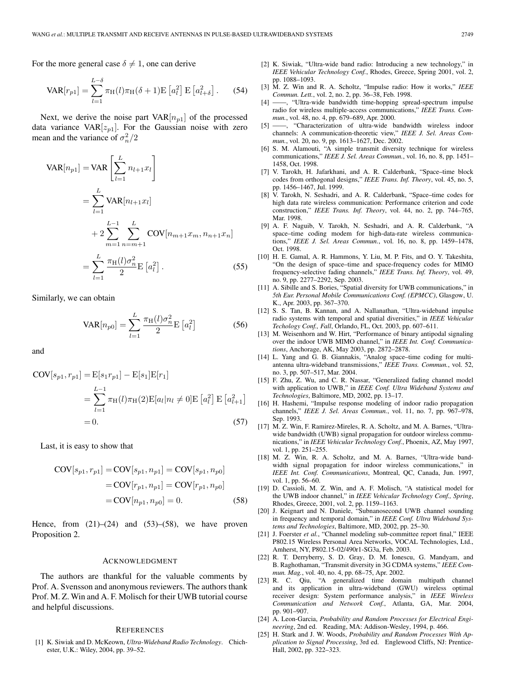For the more general case  $\delta \neq 1$ , one can derive

$$
\text{VAR}[r_{p1}] = \sum_{l=1}^{L-\delta} \pi_{\text{H}}(l)\pi_{\text{H}}(\delta+1)\text{E}\left[a_l^2\right]\text{E}\left[a_{l+\delta}^2\right].\tag{54}
$$

Next, we derive the noise part  $VAR[n_{p1}]$  of the processed data variance  $VAR[z_{p1}]$ . For the Gaussian noise with zero mean and the variance of  $\sigma_n^2/2$ 

$$
VAR[n_{p1}] = VAR\left[\sum_{l=1}^{L} n_{l+1}x_{l}\right]
$$
  
=  $\sum_{l=1}^{L} VAR[n_{l+1}x_{l}]$   
+  $2\sum_{m=1}^{L-1}\sum_{n=m+1}^{L} COVID[n_{m+1}x_{m}, n_{n+1}x_{n}]$   
=  $\sum_{l=1}^{L} \frac{\pi_{H}(l)\sigma_{n}^{2}}{2} E[a_{l}^{2}].$  (55)

Similarly, we can obtain

$$
VAR[n_{p0}] = \sum_{l=1}^{L} \frac{\pi_H(l)\sigma_n^2}{2} E\left[a_l^2\right]
$$
 (56)

and

$$
COV[s_{p1}, r_{p1}] = E[s_1r_{p1}] - E[s_1]E[r_1]
$$
  
= 
$$
\sum_{l=1}^{L-1} \pi_H(l)\pi_H(2)E[a_l|n_l \neq 0]E[a_l^2]E[a_{l+1}^2]
$$
  
= 0. (57)

Last, it is easy to show that

$$
COV[s_{p1}, r_{p1}] = COV[s_{p1}, n_{p1}] = COV[s_{p1}, n_{p0}]
$$

$$
= COV[r_{p1}, n_{p1}] = COV[r_{p1}, n_{p0}]
$$

$$
= COV[n_{p1}, n_{p0}] = 0.
$$
 (58)

Hence, from  $(21)$ – $(24)$  and  $(53)$ – $(58)$ , we have proven Proposition 2.

#### ACKNOWLEDGMENT

The authors are thankful for the valuable comments by Prof. A. Svensson and anonymous reviewers. The authors thank Prof. M. Z. Win and A. F. Molisch for their UWB tutorial course and helpful discussions.

#### **REFERENCES**

[1] K. Siwiak and D. McKeown, *Ultra-Wideband Radio Technology*. Chichester, U.K.: Wiley, 2004, pp. 39–52.

- [2] K. Siwiak, "Ultra-wide band radio: Introducing a new technology," in *IEEE Vehicular Technology Conf.*, Rhodes, Greece, Spring 2001, vol. 2, pp. 1088–1093.
- [3] M. Z. Win and R. A. Scholtz, "Impulse radio: How it works," *IEEE Commun. Lett.*, vol. 2, no. 2, pp. 36–38, Feb. 1998.
- [4] ——, "Ultra-wide bandwidth time-hopping spread-spectrum impulse radio for wireless multiple-access communications," *IEEE Trans. Commun.*, vol. 48, no. 4, pp. 679–689, Apr. 2000.
- [5] ——, "Characterization of ultra-wide bandwidth wireless indoor channels: A communication-theoretic view," *IEEE J. Sel. Areas Commun.*, vol. 20, no. 9, pp. 1613–1627, Dec. 2002.
- [6] S. M. Alamouti, "A simple transmit diversity technique for wireless communications," *IEEE J. Sel. Areas Commun.*, vol. 16, no. 8, pp. 1451– 1458, Oct. 1998.
- [7] V. Tarokh, H. Jafarkhani, and A. R. Calderbank, "Space–time block codes from orthogonal designs," *IEEE Trans. Inf. Theory*, vol. 45, no. 5, pp. 1456–1467, Jul. 1999.
- [8] V. Tarokh, N. Seshadri, and A. R. Calderbank, "Space–time codes for high data rate wireless communication: Performance criterion and code construction," *IEEE Trans. Inf. Theory*, vol. 44, no. 2, pp. 744–765, Mar. 1998.
- [9] A. F. Naguib, V. Tarokh, N. Seshadri, and A. R. Calderbank, "A space–time coding modem for high-data-rate wireless communications," *IEEE J. Sel. Areas Commun.*, vol. 16, no. 8, pp. 1459–1478, Oct. 1998.
- [10] H. E. Gamal, A. R. Hammons, Y. Liu, M. P. Fits, and O. Y. Takeshita, "On the design of space–time and space-frequency codes for MIMO frequency-selective fading channels," *IEEE Trans. Inf. Theory*, vol. 49, no. 9, pp. 2277–2292, Sep. 2003.
- [11] A. Sibille and S. Bories, "Spatial diversity for UWB communications," in *5th Eur. Personal Mobile Communications Conf. (EPMCC)*, Glasgow, U. K., Apr. 2003, pp. 367–370.
- [12] S. S. Tan, B. Kannan, and A. Nallanathan, "Ultra-wideband impulse radio systems with temporal and spatial diversities," in *IEEE Vehicular Techology Conf., Fall*, Orlando, FL, Oct. 2003, pp. 607–611.
- [13] M. Weisenhorn and W. Hirt, "Performance of binary antipodal signaling over the indoor UWB MIMO channel," in *IEEE Int. Conf. Communications*, Anchorage, AK, May 2003, pp. 2872–2878.
- [14] L. Yang and G. B. Giannakis, "Analog space-time coding for multiantenna ultra-wideband transmissions," *IEEE Trans. Commun.*, vol. 52, no. 3, pp. 507–517, Mar. 2004.
- [15] F. Zhu, Z. Wu, and C. R. Nassar, "Generalized fading channel model with application to UWB," in *IEEE Conf. Ultra Wideband Systems and Technologies*, Baltimore, MD, 2002, pp. 13–17.
- [16] H. Hashemi, "Impulse response modeling of indoor radio propagation channels," *IEEE J. Sel. Areas Commun.*, vol. 11, no. 7, pp. 967–978, Sep. 1993.
- [17] M. Z. Win, F. Ramirez-Mireles, R. A. Scholtz, and M. A. Barnes, "Ultrawide bandwidth (UWB) signal propagation for outdoor wireless communications," in *IEEE Vehicular Technology Conf.*, Phoenix, AZ, May 1997, vol. 1, pp. 251–255.
- [18] M. Z. Win, R. A. Scholtz, and M. A. Barnes, "Ultra-wide bandwidth signal propagation for indoor wireless communications," in *IEEE Int. Conf. Communications*, Montreal, QC, Canada, Jun. 1997, vol. 1, pp. 56–60.
- [19] D. Cassioli, M. Z. Win, and A. F. Molisch, "A statistical model for the UWB indoor channel," in *IEEE Vehicular Technology Conf., Spring*, Rhodes, Greece, 2001, vol. 2, pp. 1159–1163.
- [20] J. Keignart and N. Daniele, "Subnanosecond UWB channel sounding in frequency and temporal domain," in *IEEE Conf. Ultra Wideband Systems and Technologies*, Baltimore, MD, 2002, pp. 25–30.
- [21] J. Foerster et al., "Channel modeling sub-committee report final," IEEE P802.15 Wireless Personal Area Networks, VOCAL Technologies, Ltd., Amherst, NY, P802.15-02/490r1-SG3a, Feb. 2003.
- [22] R. T. Derryberry, S. D. Gray, D. M. Ionescu, G. Mandyam, and B. Raghothaman, "Transmit diversity in 3G CDMA systems," *IEEE Commun. Mag.*, vol. 40, no. 4, pp. 68–75, Apr. 2002.
- [23] R. C. Qiu, "A generalized time domain multipath channel and its application in ultra-wideband (GWU) wireless optimal receiver design: System performance analysis," in *IEEE Wireless Communication and Network Conf.*, Atlanta, GA, Mar. 2004, pp. 901–907.
- [24] A. Leon-Garcia, *Probability and Random Processes for Electrical Engineering*, 2nd ed. Reading, MA: Addison-Wesley, 1994, p. 466.
- [25] H. Stark and J. W. Woods, *Probability and Random Processes With Application to Signal Processing*, 3rd ed. Englewood Cliffs, NJ: Prentice-Hall, 2002, pp. 322–323.